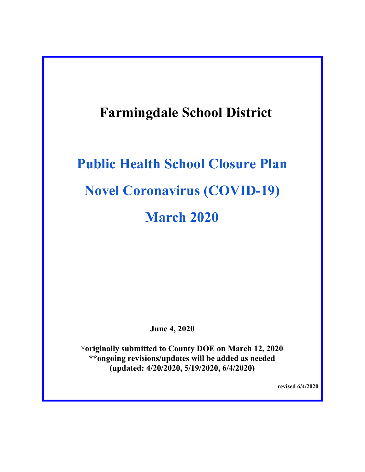# **Farmingdale School District**

# **Public Health School Closure Plan Novel Coronavirus (COVID-19) March 2020**

**June 4, 2020**

**\*originally submitted to County DOE on March 12, 2020 \*\*ongoing revisions/updates will be added as needed (updated: 4/20/2020, 5/19/2020, 6/4/2020)**

**revised 6/4/2020**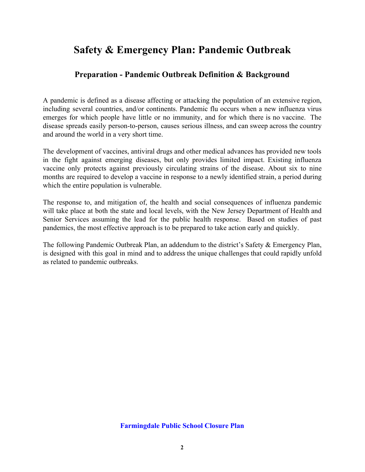# **Preparation - Pandemic Outbreak Definition & Background**

A pandemic is defined as a disease affecting or attacking the population of an extensive region, including several countries, and/or continents. Pandemic flu occurs when a new influenza virus emerges for which people have little or no immunity, and for which there is no vaccine. The disease spreads easily person-to-person, causes serious illness, and can sweep across the country and around the world in a very short time.

The development of vaccines, antiviral drugs and other medical advances has provided new tools in the fight against emerging diseases, but only provides limited impact. Existing influenza vaccine only protects against previously circulating strains of the disease. About six to nine months are required to develop a vaccine in response to a newly identified strain, a period during which the entire population is vulnerable.

The response to, and mitigation of, the health and social consequences of influenza pandemic will take place at both the state and local levels, with the New Jersey Department of Health and Senior Services assuming the lead for the public health response. Based on studies of past pandemics, the most effective approach is to be prepared to take action early and quickly.

The following Pandemic Outbreak Plan, an addendum to the district's Safety & Emergency Plan, is designed with this goal in mind and to address the unique challenges that could rapidly unfold as related to pandemic outbreaks.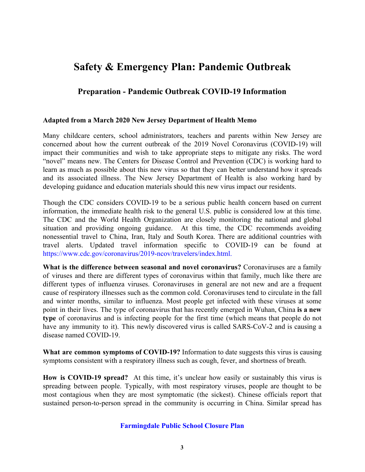# **Preparation - Pandemic Outbreak COVID-19 Information**

#### **Adapted from a March 2020 New Jersey Department of Health Memo**

Many childcare centers, school administrators, teachers and parents within New Jersey are concerned about how the current outbreak of the 2019 Novel Coronavirus (COVID-19) will impact their communities and wish to take appropriate steps to mitigate any risks. The word "novel" means new. The Centers for Disease Control and Prevention (CDC) is working hard to learn as much as possible about this new virus so that they can better understand how it spreads and its associated illness. The New Jersey Department of Health is also working hard by developing guidance and education materials should this new virus impact our residents.

Though the CDC considers COVID-19 to be a serious public health concern based on current information, the immediate health risk to the general U.S. public is considered low at this time. The CDC and the World Health Organization are closely monitoring the national and global situation and providing ongoing guidance. At this time, the CDC recommends avoiding nonessential travel to China, Iran, Italy and South Korea. There are additional countries with travel alerts. Updated travel information specific to COVID-19 can be found at [https://www.cdc.gov/coronavirus/2019-ncov/travelers/index.html.](https://www.cdc.gov/coronavirus/2019-ncov/travelers/index.html)

**What is the difference between seasonal and novel coronavirus?** Coronaviruses are a family of viruses and there are different types of coronavirus within that family, much like there are different types of influenza viruses. Coronaviruses in general are not new and are a frequent cause of respiratory illnesses such as the common cold. Coronaviruses tend to circulate in the fall and winter months, similar to influenza. Most people get infected with these viruses at some point in their lives. The type of coronavirus that has recently emerged in Wuhan, China **is a new type** of coronavirus and is infecting people for the first time (which means that people do not have any immunity to it). This newly discovered virus is called SARS-CoV-2 and is causing a disease named COVID-19.

**What are common symptoms of COVID-19?** Information to date suggests this virus is causing symptoms consistent with a respiratory illness such as cough, fever, and shortness of breath.

**How is COVID-19 spread?** At this time, it's unclear how easily or sustainably this virus is spreading between people. Typically, with most respiratory viruses, people are thought to be most contagious when they are most symptomatic (the sickest). Chinese officials report that sustained person-to-person spread in the community is occurring in China. Similar spread has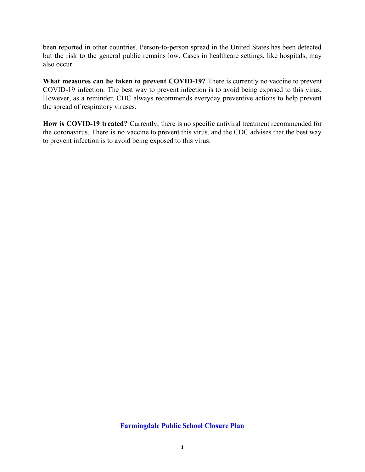been reported in other countries. Person-to-person spread in the United States has been detected but the risk to the general public remains low. Cases in healthcare settings, like hospitals, may also occur.

**What measures can be taken to prevent COVID-19?** There is currently no vaccine to prevent COVID-19 infection. The best way to prevent infection is to avoid being exposed to this virus. However, as a reminder, CDC always recommends everyday preventive actions to help prevent the spread of respiratory viruses.

**How is COVID-19 treated?** Currently, there is no specific antiviral treatment recommended for the coronavirus. There is no vaccine to prevent this virus, and the CDC advises that the best way to prevent infection is to avoid being exposed to this virus.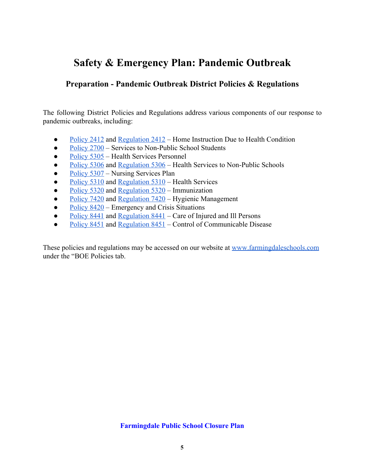# **Preparation - Pandemic Outbreak District Policies & Regulations**

The following District Policies and Regulations address various components of our response to pandemic outbreaks, including:

- [Policy 2412](https://drive.google.com/file/d/1pgLIdacZAxccnYI1s_c8SxIoOQ_d-CxB/view?usp=sharing) and Regulation  $2412$  Home Instruction Due to Health Condition
- [Policy 2700](https://drive.google.com/file/d/1dCppIF86blSsI7pE3lgObPq1zuMCfn9I/view?usp=sharing)  Services to Non-Public School Students
- [Policy 5305](https://drive.google.com/file/d/1oICSTD8QNWsxbKV0TDLW_nT7GfVRnk3F/view?usp=sharing)  Health Services Personnel
- [Policy 5306](https://drive.google.com/file/d/1JgY4uopvh_DRU5qt6vTfrQIwXk5CCatd/view?usp=sharing) and [Regulation 5306](https://drive.google.com/file/d/1Cfg2D5_dXKUrcHalOxRX4vUV_Aq0qOvl/view?usp=sharing)  Health Services to Non-Public Schools
- [Policy 5307](https://drive.google.com/file/d/1_uv1ei-EUnoWY8QepYOvWWnr-XL-S0_4/view?usp=sharing)  Nursing Services Plan
- [Policy 5310](https://drive.google.com/file/d/1Dpcih1s-7o_q-VlhrpRGXnnTZjXEXAlL/view?usp=sharing) and [Regulation 5310](https://drive.google.com/file/d/1jW3uKT_8LHxZJw7YghnV6obcSU73BY5s/view?usp=sharing)  Health Services
- [Policy 5320](https://drive.google.com/file/d/14f8IasWCi9QsFcWrSiSpwGi5fdFo8zNS/view?usp=sharing) and [Regulation 5320](https://drive.google.com/file/d/18N6LGAK8koFFQ8JqBq1ImE7K-2L9CXlQ/view?usp=sharing)  Immunization
- [Policy 7420](https://drive.google.com/file/d/14HaWzTDGf5OSDwTTnCXdijjur4ruPQ9U/view?usp=sharing) and [Regulation 7420](https://drive.google.com/file/d/13H3G_JmHpDyR2UU4u6wl1-x0o7YCmcf6/view?usp=sharing)  Hygienic Management
- $\bullet$  [Policy 8420](https://drive.google.com/file/d/1Z0Hk9rEJwZsGQcVHrcj7M2HoC3tQTpnU/view?usp=sharing)  Emergency and Crisis Situations
- $\bullet$  [Policy 8441](https://drive.google.com/file/d/1atmTcdtwb8Cr3B4fcJNqs1KvAQoYDAKh/view?usp=sharing) and [Regulation 8441](https://drive.google.com/file/d/1fjw5Vv-uMDek5xEXkrJ58wn2Fa8DIt1i/view?usp=sharing)  Care of Injured and Ill Persons
- [Policy 8451](https://drive.google.com/file/d/1B9oiMbBZ44Ziemug76vRXVU1eKMaLUMM/view?usp=sharing) and [Regulation 8451](https://drive.google.com/file/d/1yR51kchhx9YkJBWlEGi-frDVhAiBWfkt/view?usp=sharing)  Control of Communicable Disease

These policies and regulations may be accessed on our website at [www.farmingdaleschools.com](http://www.farmingdaleschools.com/) under the "BOE Policies tab.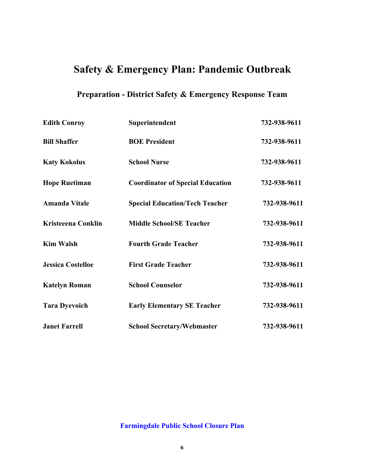# **Preparation - District Safety & Emergency Response Team**

| <b>Edith Conroy</b>       | Superintendent                          | 732-938-9611 |
|---------------------------|-----------------------------------------|--------------|
| <b>Bill Shaffer</b>       | <b>BOE President</b>                    | 732-938-9611 |
| <b>Katy Kokolus</b>       | <b>School Nurse</b>                     | 732-938-9611 |
| <b>Hope Ruetiman</b>      | <b>Coordinator of Special Education</b> | 732-938-9611 |
| <b>Amanda Vitale</b>      | <b>Special Education/Tech Teacher</b>   | 732-938-9611 |
| <b>Kristeeena Conklin</b> | <b>Middle School/SE Teacher</b>         | 732-938-9611 |
| <b>Kim Walsh</b>          | <b>Fourth Grade Teacher</b>             | 732-938-9611 |
| <b>Jessica Costelloe</b>  | <b>First Grade Teacher</b>              | 732-938-9611 |
| <b>Katelyn Roman</b>      | <b>School Counselor</b>                 | 732-938-9611 |
| <b>Tara Dyevoich</b>      | <b>Early Elementary SE Teacher</b>      | 732-938-9611 |
| <b>Janet Farrell</b>      | <b>School Secretary/Webmaster</b>       | 732-938-9611 |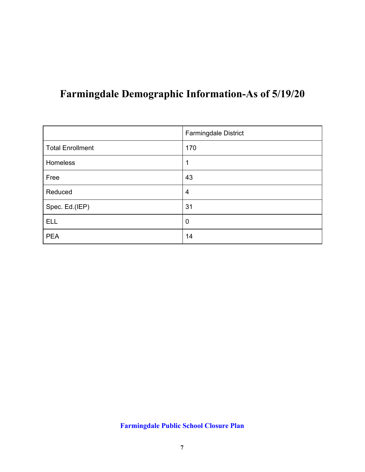# **Farmingdale Demographic Information-As of 5/19/20**

|                         | Farmingdale District |
|-------------------------|----------------------|
| <b>Total Enrollment</b> | 170                  |
| Homeless                | 4                    |
| Free                    | 43                   |
| Reduced                 | $\overline{4}$       |
| Spec. Ed.(IEP)          | 31                   |
| <b>ELL</b>              | $\mathbf 0$          |
| <b>PEA</b>              | 14                   |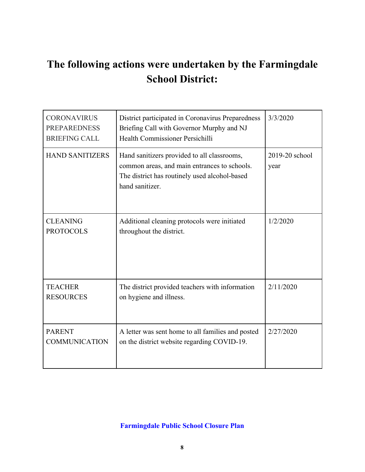# **The following actions were undertaken by the Farmingdale School District:**

| <b>CORONAVIRUS</b><br><b>PREPAREDNESS</b><br><b>BRIEFING CALL</b> | District participated in Coronavirus Preparedness<br>Briefing Call with Governor Murphy and NJ<br>Health Commissioner Persichilli                               | 3/3/2020               |
|-------------------------------------------------------------------|-----------------------------------------------------------------------------------------------------------------------------------------------------------------|------------------------|
| <b>HAND SANITIZERS</b>                                            | Hand sanitizers provided to all classrooms,<br>common areas, and main entrances to schools.<br>The district has routinely used alcohol-based<br>hand sanitizer. | 2019-20 school<br>year |
| <b>CLEANING</b><br><b>PROTOCOLS</b>                               | Additional cleaning protocols were initiated<br>throughout the district.                                                                                        | 1/2/2020               |
| <b>TEACHER</b><br><b>RESOURCES</b>                                | The district provided teachers with information<br>on hygiene and illness.                                                                                      | 2/11/2020              |
| <b>PARENT</b><br><b>COMMUNICATION</b>                             | A letter was sent home to all families and posted<br>on the district website regarding COVID-19.                                                                | 2/27/2020              |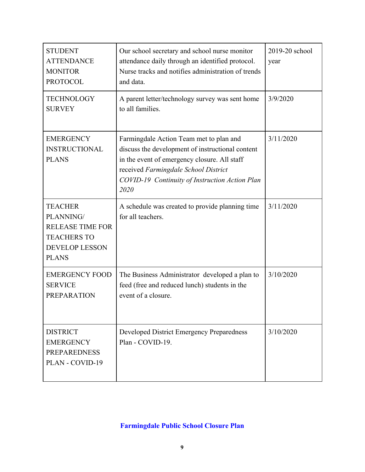| <b>STUDENT</b><br><b>ATTENDANCE</b><br><b>MONITOR</b><br><b>PROTOCOL</b>                                              | Our school secretary and school nurse monitor<br>attendance daily through an identified protocol.<br>Nurse tracks and notifies administration of trends<br>and data.                                                                          | 2019-20 school<br>year |
|-----------------------------------------------------------------------------------------------------------------------|-----------------------------------------------------------------------------------------------------------------------------------------------------------------------------------------------------------------------------------------------|------------------------|
| <b>TECHNOLOGY</b><br><b>SURVEY</b>                                                                                    | A parent letter/technology survey was sent home<br>to all families.                                                                                                                                                                           | 3/9/2020               |
| <b>EMERGENCY</b><br><b>INSTRUCTIONAL</b><br><b>PLANS</b>                                                              | Farmingdale Action Team met to plan and<br>discuss the development of instructional content<br>in the event of emergency closure. All staff<br>received Farmingdale School District<br>COVID-19 Continuity of Instruction Action Plan<br>2020 | 3/11/2020              |
| <b>TEACHER</b><br>PLANNING/<br><b>RELEASE TIME FOR</b><br><b>TEACHERS TO</b><br><b>DEVELOP LESSON</b><br><b>PLANS</b> | A schedule was created to provide planning time<br>for all teachers.                                                                                                                                                                          | 3/11/2020              |
| <b>EMERGENCY FOOD</b><br><b>SERVICE</b><br><b>PREPARATION</b>                                                         | The Business Administrator developed a plan to<br>feed (free and reduced lunch) students in the<br>event of a closure.                                                                                                                        | 3/10/2020              |
| <b>DISTRICT</b><br><b>EMERGENCY</b><br><b>PREPAREDNESS</b><br>PLAN - COVID-19                                         | Developed District Emergency Preparedness<br>Plan - COVID-19.                                                                                                                                                                                 | 3/10/2020              |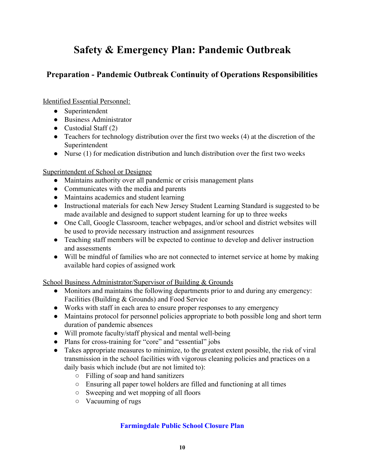# **Preparation - Pandemic Outbreak Continuity of Operations Responsibilities**

Identified Essential Personnel:

- Superintendent
- Business Administrator
- $\bullet$  Custodial Staff (2)
- Teachers for technology distribution over the first two weeks (4) at the discretion of the Superintendent
- Nurse (1) for medication distribution and lunch distribution over the first two weeks

# Superintendent of School or Designee

- Maintains authority over all pandemic or crisis management plans
- Communicates with the media and parents
- Maintains academics and student learning
- Instructional materials for each New Jersey Student Learning Standard is suggested to be made available and designed to support student learning for up to three weeks
- One Call, Google Classroom, teacher webpages, and/or school and district websites will be used to provide necessary instruction and assignment resources
- Teaching staff members will be expected to continue to develop and deliver instruction and assessments
- Will be mindful of families who are not connected to internet service at home by making available hard copies of assigned work

School Business Administrator/Supervisor of Building & Grounds

- Monitors and maintains the following departments prior to and during any emergency: Facilities (Building & Grounds) and Food Service
- Works with staff in each area to ensure proper responses to any emergency
- Maintains protocol for personnel policies appropriate to both possible long and short term duration of pandemic absences
- Will promote faculty/staff physical and mental well-being
- Plans for cross-training for "core" and "essential" jobs
- Takes appropriate measures to minimize, to the greatest extent possible, the risk of viral transmission in the school facilities with vigorous cleaning policies and practices on a daily basis which include (but are not limited to):
	- Filling of soap and hand sanitizers
	- Ensuring all paper towel holders are filled and functioning at all times
	- Sweeping and wet mopping of all floors
	- Vacuuming of rugs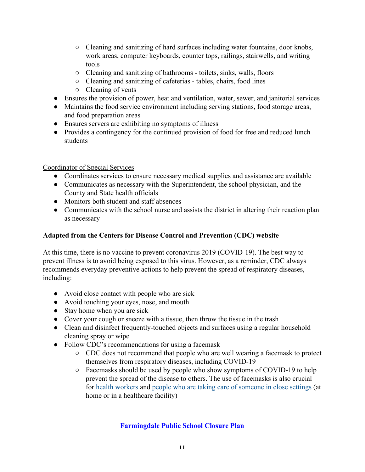- Cleaning and sanitizing of hard surfaces including water fountains, door knobs, work areas, computer keyboards, counter tops, railings, stairwells, and writing tools
- Cleaning and sanitizing of bathrooms toilets, sinks, walls, floors
- Cleaning and sanitizing of cafeterias tables, chairs, food lines
- Cleaning of vents
- Ensures the provision of power, heat and ventilation, water, sewer, and janitorial services
- Maintains the food service environment including serving stations, food storage areas, and food preparation areas
- Ensures servers are exhibiting no symptoms of illness
- Provides a contingency for the continued provision of food for free and reduced lunch students

### Coordinator of Special Services

- Coordinates services to ensure necessary medical supplies and assistance are available
- Communicates as necessary with the Superintendent, the school physician, and the County and State health officials
- Monitors both student and staff absences
- Communicates with the school nurse and assists the district in altering their reaction plan as necessary

# **Adapted from the Centers for Disease Control and Prevention (CDC) website**

At this time, there is no vaccine to prevent coronavirus 2019 (COVID-19). The best way to prevent illness is to avoid being exposed to this virus. However, as a reminder, CDC always recommends everyday preventive actions to help prevent the spread of respiratory diseases, including:

- Avoid close contact with people who are sick
- Avoid touching your eyes, nose, and mouth
- Stay home when you are sick
- Cover your cough or sneeze with a tissue, then throw the tissue in the trash
- Clean and disinfect frequently-touched objects and surfaces using a regular household cleaning spray or wipe
- Follow CDC's recommendations for using a facemask
	- CDC does not recommend that people who are well wearing a facemask to protect themselves from respiratory diseases, including COVID-19
	- Facemasks should be used by people who show symptoms of COVID-19 to help prevent the spread of the disease to others. The use of facemasks is also crucial for [health workers](https://www.cdc.gov/coronavirus/2019-nCoV/hcp/infection-control.html) and [people who are taking care of someone in close settings](https://www.cdc.gov/coronavirus/2019-ncov/hcp/guidance-home-care.html) (at home or in a healthcare facility)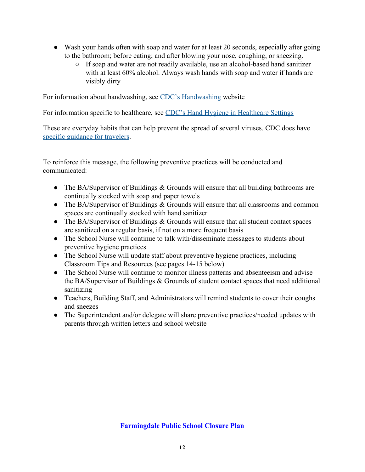- Wash your hands often with soap and water for at least 20 seconds, especially after going to the bathroom; before eating; and after blowing your nose, coughing, or sneezing.
	- If soap and water are not readily available, use an alcohol-based hand sanitizer with at least 60% alcohol. Always wash hands with soap and water if hands are visibly dirty

For information about handwashing, see [CDC's Handwashing](https://www.cdc.gov/handwashing/) website

For information specific to healthcare, see [CDC's Hand Hygiene in Healthcare Settings](https://www.cdc.gov/handhygiene/index.html)

These are everyday habits that can help prevent the spread of several viruses. CDC does have [specific guidance for travelers.](https://wwwnc.cdc.gov/travel/notices/warning/novel-coronavirus-china)

To reinforce this message, the following preventive practices will be conducted and communicated:

- The BA/Supervisor of Buildings & Grounds will ensure that all building bathrooms are continually stocked with soap and paper towels
- The BA/Supervisor of Buildings & Grounds will ensure that all classrooms and common spaces are continually stocked with hand sanitizer
- The BA/Supervisor of Buildings & Grounds will ensure that all student contact spaces are sanitized on a regular basis, if not on a more frequent basis
- The School Nurse will continue to talk with/disseminate messages to students about preventive hygiene practices
- The School Nurse will update staff about preventive hygiene practices, including Classroom Tips and Resources (see pages 14-15 below)
- The School Nurse will continue to monitor illness patterns and absenteeism and advise the BA/Supervisor of Buildings & Grounds of student contact spaces that need additional sanitizing
- Teachers, Building Staff, and Administrators will remind students to cover their coughs and sneezes
- The Superintendent and/or delegate will share preventive practices/needed updates with parents through written letters and school website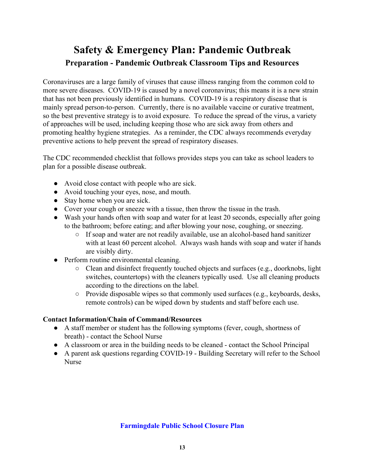# **Safety & Emergency Plan: Pandemic Outbreak Preparation - Pandemic Outbreak Classroom Tips and Resources**

Coronaviruses are a large family of viruses that cause illness ranging from the common cold to more severe diseases. COVID-19 is caused by a novel coronavirus; this means it is a new strain that has not been previously identified in humans. COVID-19 is a respiratory disease that is mainly spread person-to-person. Currently, there is no available vaccine or curative treatment, so the best preventive strategy is to avoid exposure. To reduce the spread of the virus, a variety of approaches will be used, including keeping those who are sick away from others and promoting healthy hygiene strategies. As a reminder, the CDC always recommends everyday preventive actions to help prevent the spread of respiratory diseases.

The CDC recommended checklist that follows provides steps you can take as school leaders to plan for a possible disease outbreak.

- Avoid close contact with people who are sick.
- Avoid touching your eyes, nose, and mouth.
- Stay home when you are sick.
- Cover your cough or sneeze with a tissue, then throw the tissue in the trash.
- Wash your hands often with soap and water for at least 20 seconds, especially after going to the bathroom; before eating; and after blowing your nose, coughing, or sneezing.
	- If soap and water are not readily available, use an alcohol-based hand sanitizer with at least 60 percent alcohol. Always wash hands with soap and water if hands are visibly dirty.
- Perform routine environmental cleaning.
	- $\circ$  Clean and disinfect frequently touched objects and surfaces (e.g., doorknobs, light switches, countertops) with the cleaners typically used. Use all cleaning products according to the directions on the label.
	- Provide disposable wipes so that commonly used surfaces (e.g., keyboards, desks, remote controls) can be wiped down by students and staff before each use.

# **Contact Information/Chain of Command/Resources**

- A staff member or student has the following symptoms (fever, cough, shortness of breath) - contact the School Nurse
- A classroom or area in the building needs to be cleaned contact the School Principal
- A parent ask questions regarding COVID-19 Building Secretary will refer to the School Nurse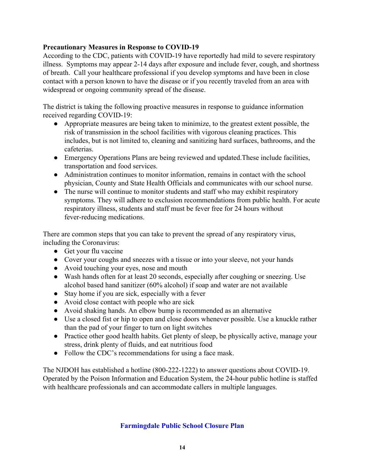# **Precautionary Measures in Response to COVID-19**

According to the CDC, patients with COVID-19 have reportedly had mild to severe respiratory illness. Symptoms may appear 2-14 days after exposure and include fever, cough, and shortness of breath. Call your healthcare professional if you develop symptoms and have been in close contact with a person known to have the disease or if you recently traveled from an area with widespread or ongoing community spread of the disease.

The district is taking the following proactive measures in response to guidance information received regarding COVID-19:

- Appropriate measures are being taken to minimize, to the greatest extent possible, the risk of transmission in the school facilities with vigorous cleaning practices. This includes, but is not limited to, cleaning and sanitizing hard surfaces, bathrooms, and the cafeterias.
- Emergency Operations Plans are being reviewed and updated. These include facilities, transportation and food services.
- Administration continues to monitor information, remains in contact with the school physician, County and State Health Officials and communicates with our school nurse.
- The nurse will continue to monitor students and staff who may exhibit respiratory symptoms. They will adhere to exclusion recommendations from public health. For acute respiratory illness, students and staff must be fever free for 24 hours without fever-reducing medications.

There are common steps that you can take to prevent the spread of any respiratory virus, including the Coronavirus:

- Get your flu vaccine
- Cover your coughs and sneezes with a tissue or into your sleeve, not your hands
- Avoid touching your eyes, nose and mouth
- Wash hands often for at least 20 seconds, especially after coughing or sneezing. Use alcohol based hand sanitizer (60% alcohol) if soap and water are not available
- Stay home if you are sick, especially with a fever
- Avoid close contact with people who are sick
- Avoid shaking hands. An elbow bump is recommended as an alternative
- Use a closed fist or hip to open and close doors whenever possible. Use a knuckle rather than the pad of your finger to turn on light switches
- Practice other good health habits. Get plenty of sleep, be physically active, manage your stress, drink plenty of fluids, and eat nutritious food
- Follow the CDC's recommendations for using a face mask.

The NJDOH has established a hotline (800-222-1222) to answer questions about COVID-19. Operated by the Poison Information and Education System, the 24-hour public hotline is staffed with healthcare professionals and can accommodate callers in multiple languages.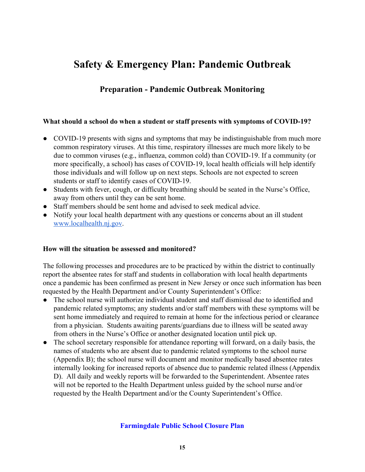# **Preparation - Pandemic Outbreak Monitoring**

#### **What should a school do when a student or staff presents with symptoms of COVID-19?**

- COVID-19 presents with signs and symptoms that may be indistinguishable from much more common respiratory viruses. At this time, respiratory illnesses are much more likely to be due to common viruses (e.g., influenza, common cold) than COVID-19. If a community (or more specifically, a school) has cases of COVID-19, local health officials will help identify those individuals and will follow up on next steps. Schools are not expected to screen students or staff to identify cases of COVID-19.
- Students with fever, cough, or difficulty breathing should be seated in the Nurse's Office, away from others until they can be sent home.
- Staff members should be sent home and advised to seek medical advice.
- Notify your local health department with any questions or concerns about an ill student [www.localhealth.nj.gov.](http://www.localhealth.nj.gov/)

#### **How will the situation be assessed and monitored?**

The following processes and procedures are to be practiced by within the district to continually report the absentee rates for staff and students in collaboration with local health departments once a pandemic has been confirmed as present in New Jersey or once such information has been requested by the Health Department and/or County Superintendent's Office:

- The school nurse will authorize individual student and staff dismissal due to identified and pandemic related symptoms; any students and/or staff members with these symptoms will be sent home immediately and required to remain at home for the infectious period or clearance from a physician. Students awaiting parents/guardians due to illness will be seated away from others in the Nurse's Office or another designated location until pick up.
- The school secretary responsible for attendance reporting will forward, on a daily basis, the names of students who are absent due to pandemic related symptoms to the school nurse (Appendix B); the school nurse will document and monitor medically based absentee rates internally looking for increased reports of absence due to pandemic related illness (Appendix D). All daily and weekly reports will be forwarded to the Superintendent. Absentee rates will not be reported to the Health Department unless guided by the school nurse and/or requested by the Health Department and/or the County Superintendent's Office.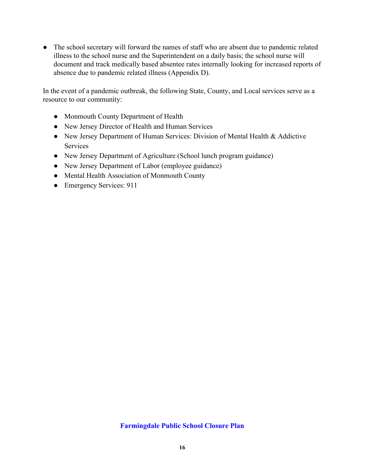• The school secretary will forward the names of staff who are absent due to pandemic related illness to the school nurse and the Superintendent on a daily basis; the school nurse will document and track medically based absentee rates internally looking for increased reports of absence due to pandemic related illness (Appendix D).

In the event of a pandemic outbreak, the following State, County, and Local services serve as a resource to our community:

- Monmouth County Department of Health
- New Jersey Director of Health and Human Services
- New Jersey Department of Human Services: Division of Mental Health & Addictive Services
- New Jersey Department of Agriculture (School lunch program guidance)
- New Jersey Department of Labor (employee guidance)
- Mental Health Association of Monmouth County
- Emergency Services: 911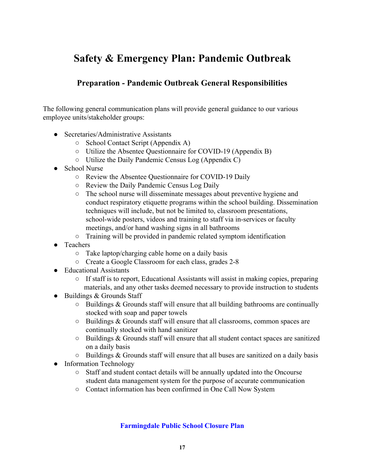# **Preparation - Pandemic Outbreak General Responsibilities**

The following general communication plans will provide general guidance to our various employee units/stakeholder groups:

- Secretaries/Administrative Assistants
	- School Contact Script (Appendix A)
	- Utilize the Absentee Questionnaire for COVID-19 (Appendix B)
	- Utilize the Daily Pandemic Census Log (Appendix C)
- School Nurse
	- Review the Absentee Questionnaire for COVID-19 Daily
	- Review the Daily Pandemic Census Log Daily
	- The school nurse will disseminate messages about preventive hygiene and conduct respiratory etiquette programs within the school building. Dissemination techniques will include, but not be limited to, classroom presentations, school-wide posters, videos and training to staff via in-services or faculty meetings, and/or hand washing signs in all bathrooms
	- Training will be provided in pandemic related symptom identification
- Teachers
	- $\circ$  Take laptop/charging cable home on a daily basis
	- Create a Google Classroom for each class, grades 2-8
- Educational Assistants
	- If staff is to report, Educational Assistants will assist in making copies, preparing materials, and any other tasks deemed necessary to provide instruction to students
- Buildings & Grounds Staff
	- $\circ$  Buildings & Grounds staff will ensure that all building bathrooms are continually stocked with soap and paper towels
	- Buildings & Grounds staff will ensure that all classrooms, common spaces are continually stocked with hand sanitizer
	- $\circ$  Buildings & Grounds staff will ensure that all student contact spaces are sanitized on a daily basis
	- $\circ$  Buildings & Grounds staff will ensure that all buses are sanitized on a daily basis
- Information Technology
	- Staff and student contact details will be annually updated into the Oncourse student data management system for the purpose of accurate communication
	- Contact information has been confirmed in One Call Now System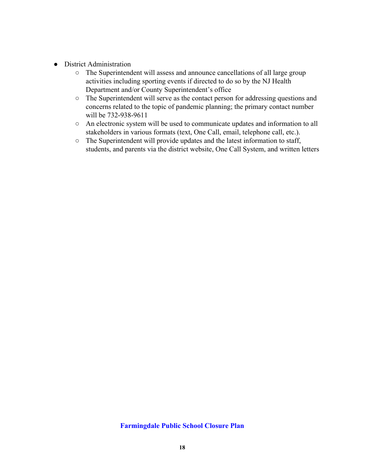- District Administration
	- The Superintendent will assess and announce cancellations of all large group activities including sporting events if directed to do so by the NJ Health Department and/or County Superintendent's office
	- The Superintendent will serve as the contact person for addressing questions and concerns related to the topic of pandemic planning; the primary contact number will be 732-938-9611
	- An electronic system will be used to communicate updates and information to all stakeholders in various formats (text, One Call, email, telephone call, etc.).
	- The Superintendent will provide updates and the latest information to staff, students, and parents via the district website, One Call System, and written letters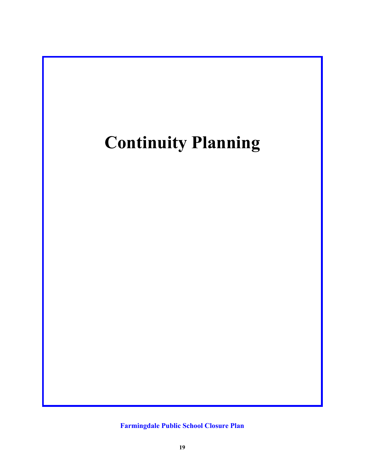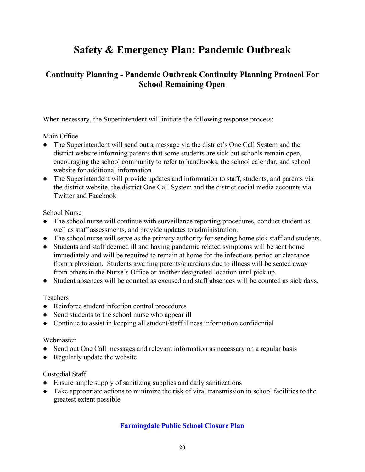# **Continuity Planning - Pandemic Outbreak Continuity Planning Protocol For School Remaining Open**

When necessary, the Superintendent will initiate the following response process:

# Main Office

- The Superintendent will send out a message via the district's One Call System and the district website informing parents that some students are sick but schools remain open, encouraging the school community to refer to handbooks, the school calendar, and school website for additional information
- The Superintendent will provide updates and information to staff, students, and parents via the district website, the district One Call System and the district social media accounts via Twitter and Facebook

### School Nurse

- The school nurse will continue with surveillance reporting procedures, conduct student as well as staff assessments, and provide updates to administration.
- The school nurse will serve as the primary authority for sending home sick staff and students.
- Students and staff deemed ill and having pandemic related symptoms will be sent home immediately and will be required to remain at home for the infectious period or clearance from a physician. Students awaiting parents/guardians due to illness will be seated away from others in the Nurse's Office or another designated location until pick up.
- Student absences will be counted as excused and staff absences will be counted as sick days.

# **Teachers**

- Reinforce student infection control procedures
- Send students to the school nurse who appear ill
- Continue to assist in keeping all student/staff illness information confidential

#### Webmaster

- Send out One Call messages and relevant information as necessary on a regular basis
- Regularly update the website

# Custodial Staff

- Ensure ample supply of sanitizing supplies and daily sanitizations
- Take appropriate actions to minimize the risk of viral transmission in school facilities to the greatest extent possible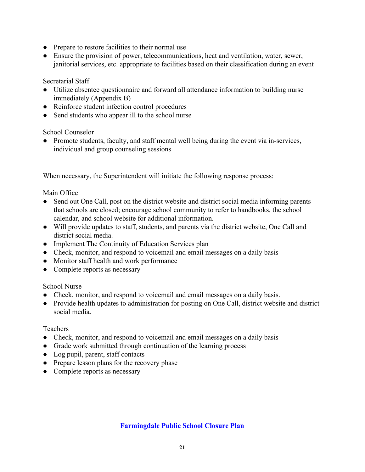- Prepare to restore facilities to their normal use
- Ensure the provision of power, telecommunications, heat and ventilation, water, sewer, janitorial services, etc. appropriate to facilities based on their classification during an event

Secretarial Staff

- Utilize absentee questionnaire and forward all attendance information to building nurse immediately (Appendix B)
- Reinforce student infection control procedures
- Send students who appear ill to the school nurse

School Counselor

• Promote students, faculty, and staff mental well being during the event via in-services, individual and group counseling sessions

When necessary, the Superintendent will initiate the following response process:

Main Office

- Send out One Call, post on the district website and district social media informing parents that schools are closed; encourage school community to refer to handbooks, the school calendar, and school website for additional information.
- Will provide updates to staff, students, and parents via the district website, One Call and district social media.
- Implement The Continuity of Education Services plan
- Check, monitor, and respond to voicemail and email messages on a daily basis
- Monitor staff health and work performance
- Complete reports as necessary

School Nurse

- Check, monitor, and respond to voicemail and email messages on a daily basis.
- Provide health updates to administration for posting on One Call, district website and district social media.

Teachers

- Check, monitor, and respond to voicemail and email messages on a daily basis
- Grade work submitted through continuation of the learning process
- Log pupil, parent, staff contacts
- Prepare lesson plans for the recovery phase
- Complete reports as necessary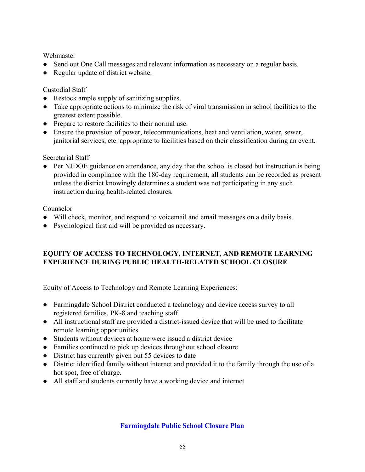# **Webmaster**

- Send out One Call messages and relevant information as necessary on a regular basis.
- Regular update of district website.

# Custodial Staff

- Restock ample supply of sanitizing supplies.
- Take appropriate actions to minimize the risk of viral transmission in school facilities to the greatest extent possible.
- Prepare to restore facilities to their normal use.
- Ensure the provision of power, telecommunications, heat and ventilation, water, sewer, janitorial services, etc. appropriate to facilities based on their classification during an event.

# Secretarial Staff

• Per NJDOE guidance on attendance, any day that the school is closed but instruction is being provided in compliance with the 180-day requirement, all students can be recorded as present unless the district knowingly determines a student was not participating in any such instruction during health-related closures.

### Counselor

- Will check, monitor, and respond to voicemail and email messages on a daily basis.
- Psychological first aid will be provided as necessary.

# **EQUITY OF ACCESS TO TECHNOLOGY, INTERNET, AND REMOTE LEARNING EXPERIENCE DURING PUBLIC HEALTH-RELATED SCHOOL CLOSURE**

Equity of Access to Technology and Remote Learning Experiences:

- Farmingdale School District conducted a technology and device access survey to all registered families, PK-8 and teaching staff
- All instructional staff are provided a district-issued device that will be used to facilitate remote learning opportunities
- Students without devices at home were issued a district device
- Families continued to pick up devices throughout school closure
- District has currently given out 55 devices to date
- District identified family without internet and provided it to the family through the use of a hot spot, free of charge.
- All staff and students currently have a working device and internet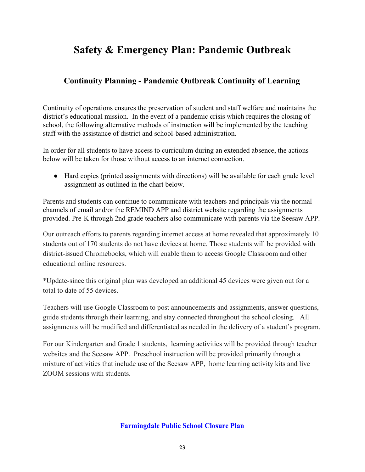# **Continuity Planning - Pandemic Outbreak Continuity of Learning**

Continuity of operations ensures the preservation of student and staff welfare and maintains the district's educational mission. In the event of a pandemic crisis which requires the closing of school, the following alternative methods of instruction will be implemented by the teaching staff with the assistance of district and school-based administration.

In order for all students to have access to curriculum during an extended absence, the actions below will be taken for those without access to an internet connection.

● Hard copies (printed assignments with directions) will be available for each grade level assignment as outlined in the chart below.

Parents and students can continue to communicate with teachers and principals via the normal channels of email and/or the REMIND APP and district website regarding the assignments provided. Pre-K through 2nd grade teachers also communicate with parents via the Seesaw APP.

Our outreach efforts to parents regarding internet access at home revealed that approximately 10 students out of 170 students do not have devices at home. Those students will be provided with district-issued Chromebooks, which will enable them to access Google Classroom and other educational online resources.

\*Update-since this original plan was developed an additional 45 devices were given out for a total to date of 55 devices.

Teachers will use Google Classroom to post announcements and assignments, answer questions, guide students through their learning, and stay connected throughout the school closing. All assignments will be modified and differentiated as needed in the delivery of a student's program.

For our Kindergarten and Grade 1 students, learning activities will be provided through teacher websites and the Seesaw APP. Preschool instruction will be provided primarily through a mixture of activities that include use of the Seesaw APP, home learning activity kits and live ZOOM sessions with students.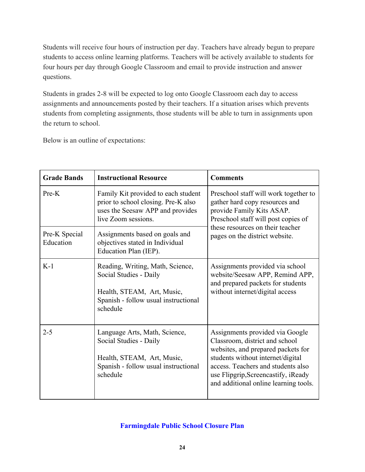Students will receive four hours of instruction per day. Teachers have already begun to prepare students to access online learning platforms. Teachers will be actively available to students for four hours per day through Google Classroom and email to provide instruction and answer questions.

Students in grades 2-8 will be expected to log onto Google Classroom each day to access assignments and announcements posted by their teachers. If a situation arises which prevents students from completing assignments, those students will be able to turn in assignments upon the return to school.

Below is an outline of expectations:

| <b>Grade Bands</b>         | <b>Instructional Resource</b>                                                                                                                | <b>Comments</b>                                                                                                                                                                                                                                                    |  |
|----------------------------|----------------------------------------------------------------------------------------------------------------------------------------------|--------------------------------------------------------------------------------------------------------------------------------------------------------------------------------------------------------------------------------------------------------------------|--|
| Pre-K                      | Family Kit provided to each student<br>prior to school closing. Pre-K also<br>uses the Seesaw APP and provides<br>live Zoom sessions.        | Preschool staff will work together to<br>gather hard copy resources and<br>provide Family Kits ASAP.<br>Preschool staff will post copies of                                                                                                                        |  |
| Pre-K Special<br>Education | Assignments based on goals and<br>objectives stated in Individual<br>Education Plan (IEP).                                                   | these resources on their teacher<br>pages on the district website.                                                                                                                                                                                                 |  |
| $K-1$                      | Reading, Writing, Math, Science,<br>Social Studies - Daily<br>Health, STEAM, Art, Music,<br>Spanish - follow usual instructional<br>schedule | Assignments provided via school<br>website/Seesaw APP, Remind APP,<br>and prepared packets for students<br>without internet/digital access                                                                                                                         |  |
| $2 - 5$                    | Language Arts, Math, Science,<br>Social Studies - Daily<br>Health, STEAM, Art, Music,<br>Spanish - follow usual instructional<br>schedule    | Assignments provided via Google<br>Classroom, district and school<br>websites, and prepared packets for<br>students without internet/digital<br>access. Teachers and students also<br>use Flipgrip, Screencastify, iReady<br>and additional online learning tools. |  |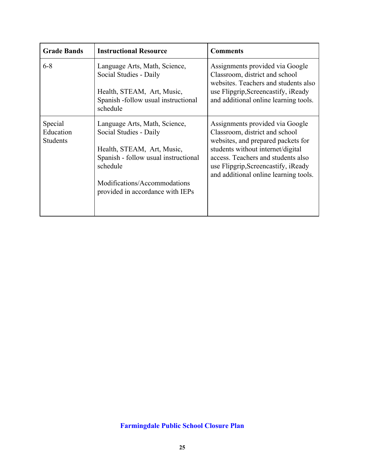| <b>Grade Bands</b>                      | <b>Instructional Resource</b>                                                                                                                                                                                 | <b>Comments</b>                                                                                                                                                                                                                                                    |
|-----------------------------------------|---------------------------------------------------------------------------------------------------------------------------------------------------------------------------------------------------------------|--------------------------------------------------------------------------------------------------------------------------------------------------------------------------------------------------------------------------------------------------------------------|
| $6 - 8$                                 | Language Arts, Math, Science,<br>Social Studies - Daily<br>Health, STEAM, Art, Music,<br>Spanish -follow usual instructional<br>schedule                                                                      | Assignments provided via Google<br>Classroom, district and school<br>websites. Teachers and students also<br>use Flipgrip, Screencastify, iReady<br>and additional online learning tools.                                                                          |
| Special<br>Education<br><b>Students</b> | Language Arts, Math, Science,<br>Social Studies - Daily<br>Health, STEAM, Art, Music,<br>Spanish - follow usual instructional<br>schedule<br>Modifications/Accommodations<br>provided in accordance with IEPs | Assignments provided via Google<br>Classroom, district and school<br>websites, and prepared packets for<br>students without internet/digital<br>access. Teachers and students also<br>use Flipgrip, Screencastify, iReady<br>and additional online learning tools. |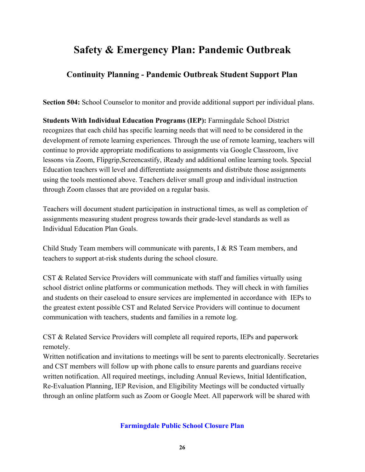# **Continuity Planning - Pandemic Outbreak Student Support Plan**

**Section 504:** School Counselor to monitor and provide additional support per individual plans.

**Students With Individual Education Programs (IEP):** Farmingdale School District recognizes that each child has specific learning needs that will need to be considered in the development of remote learning experiences. Through the use of remote learning, teachers will continue to provide appropriate modifications to assignments via Google Classroom, live lessons via Zoom, Flipgrip,Screencastify, iReady and additional online learning tools. Special Education teachers will level and differentiate assignments and distribute those assignments using the tools mentioned above. Teachers deliver small group and individual instruction through Zoom classes that are provided on a regular basis.

Teachers will document student participation in instructional times, as well as completion of assignments measuring student progress towards their grade-level standards as well as Individual Education Plan Goals.

Child Study Team members will communicate with parents, I & RS Team members, and teachers to support at-risk students during the school closure.

CST & Related Service Providers will communicate with staff and families virtually using school district online platforms or communication methods. They will check in with families and students on their caseload to ensure services are implemented in accordance with IEPs to the greatest extent possible CST and Related Service Providers will continue to document communication with teachers, students and families in a remote log.

CST & Related Service Providers will complete all required reports, IEPs and paperwork remotely.

Written notification and invitations to meetings will be sent to parents electronically. Secretaries and CST members will follow up with phone calls to ensure parents and guardians receive written notification. All required meetings, including Annual Reviews, Initial Identification, Re-Evaluation Planning, IEP Revision, and Eligibility Meetings will be conducted virtually through an online platform such as Zoom or Google Meet. All paperwork will be shared with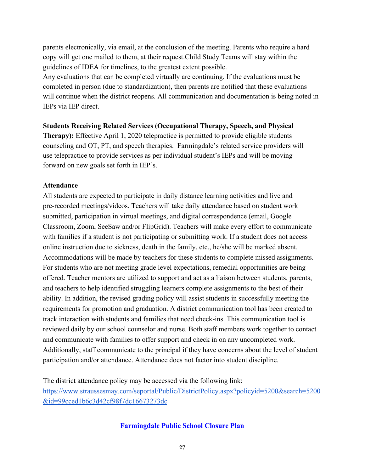parents electronically, via email, at the conclusion of the meeting. Parents who require a hard copy will get one mailed to them, at their request.Child Study Teams will stay within the guidelines of IDEA for timelines, to the greatest extent possible.

Any evaluations that can be completed virtually are continuing. If the evaluations must be completed in person (due to standardization), then parents are notified that these evaluations will continue when the district reopens. All communication and documentation is being noted in IEPs via IEP direct.

#### **Students Receiving Related Services (Occupational Therapy, Speech, and Physical**

**Therapy):** Effective April 1, 2020 telepractice is permitted to provide eligible students counseling and OT, PT, and speech therapies. Farmingdale's related service providers will use telepractice to provide services as per individual student's IEPs and will be moving forward on new goals set forth in IEP's.

#### **Attendance**

All students are expected to participate in daily distance learning activities and live and pre-recorded meetings/videos. Teachers will take daily attendance based on student work submitted, participation in virtual meetings, and digital correspondence (email, Google Classroom, Zoom, SeeSaw and/or FlipGrid). Teachers will make every effort to communicate with families if a student is not participating or submitting work. If a student does not access online instruction due to sickness, death in the family, etc., he/she will be marked absent. Accommodations will be made by teachers for these students to complete missed assignments. For students who are not meeting grade level expectations, remedial opportunities are being offered. Teacher mentors are utilized to support and act as a liaison between students, parents, and teachers to help identified struggling learners complete assignments to the best of their ability. In addition, the revised grading policy will assist students in successfully meeting the requirements for promotion and graduation. A district communication tool has been created to track interaction with students and families that need check-ins. This communication tool is reviewed daily by our school counselor and nurse. Both staff members work together to contact and communicate with families to offer support and check in on any uncompleted work. Additionally, staff communicate to the principal if they have concerns about the level of student participation and/or attendance. Attendance does not factor into student discipline.

The district attendance policy may be accessed via the following link: [https://www.straussesmay.com/seportal/Public/DistrictPolicy.aspx?policyid=5200&search=5200](https://www.straussesmay.com/seportal/Public/DistrictPolicy.aspx?policyid=5200&search=5200&id=99cced1b6c3d42cf98f7dc16673273dc) [&id=99cced1b6c3d42cf98f7dc16673273dc](https://www.straussesmay.com/seportal/Public/DistrictPolicy.aspx?policyid=5200&search=5200&id=99cced1b6c3d42cf98f7dc16673273dc)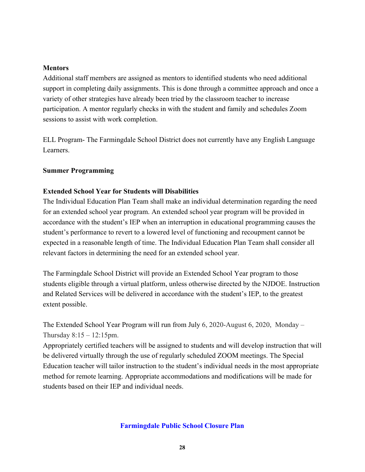#### **Mentors**

Additional staff members are assigned as mentors to identified students who need additional support in completing daily assignments. This is done through a committee approach and once a variety of other strategies have already been tried by the classroom teacher to increase participation. A mentor regularly checks in with the student and family and schedules Zoom sessions to assist with work completion.

ELL Program- The Farmingdale School District does not currently have any English Language Learners.

#### **Summer Programming**

#### **Extended School Year for Students will Disabilities**

The Individual Education Plan Team shall make an individual determination regarding the need for an extended school year program. An extended school year program will be provided in accordance with the student's IEP when an interruption in educational programming causes the student's performance to revert to a lowered level of functioning and recoupment cannot be expected in a reasonable length of time. The Individual Education Plan Team shall consider all relevant factors in determining the need for an extended school year.

The Farmingdale School District will provide an Extended School Year program to those students eligible through a virtual platform, unless otherwise directed by the NJDOE. Instruction and Related Services will be delivered in accordance with the student's IEP, to the greatest extent possible.

The Extended School Year Program will run from July 6, 2020-August 6, 2020, Monday – Thursday  $8:15 - 12:15$ pm.

Appropriately certified teachers will be assigned to students and will develop instruction that will be delivered virtually through the use of regularly scheduled ZOOM meetings. The Special Education teacher will tailor instruction to the student's individual needs in the most appropriate method for remote learning. Appropriate accommodations and modifications will be made for students based on their IEP and individual needs.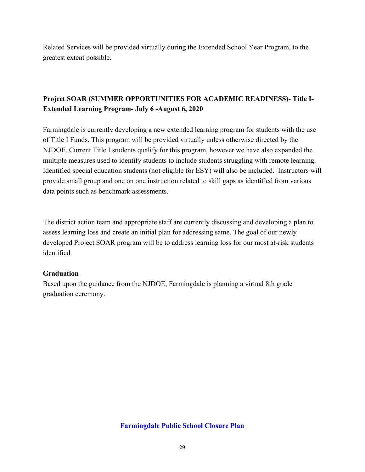Related Services will be provided virtually during the Extended School Year Program, to the greatest extent possible.

# **Project SOAR (SUMMER OPPORTUNITIES FOR ACADEMIC READINESS)- Title I-Extended Learning Program- July 6 -August 6, 2020**

Farmingdale is currently developing a new extended learning program for students with the use of Title I Funds. This program will be provided virtually unless otherwise directed by the NJDOE. Current Title I students qualify for this program, however we have also expanded the multiple measures used to identify students to include students struggling with remote learning. Identified special education students (not eligible for ESY) will also be included. Instructors will provide small group and one on one instruction related to skill gaps as identified from various data points such as benchmark assessments.

The district action team and appropriate staff are currently discussing and developing a plan to assess learning loss and create an initial plan for addressing same. The goal of our newly developed Project SOAR program will be to address learning loss for our most at-risk students identified.

# **Graduation**

Based upon the guidance from the NJDOE, Farmingdale is planning a virtual 8th grade graduation ceremony.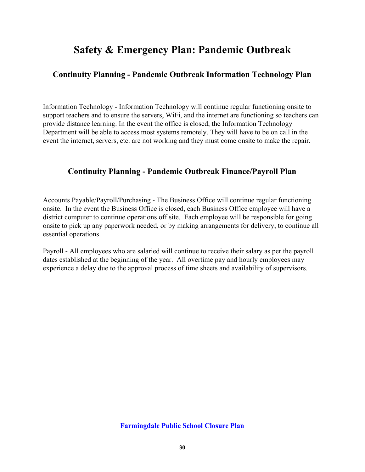# **Continuity Planning - Pandemic Outbreak Information Technology Plan**

Information Technology - Information Technology will continue regular functioning onsite to support teachers and to ensure the servers, WiFi, and the internet are functioning so teachers can provide distance learning. In the event the office is closed, the Information Technology Department will be able to access most systems remotely. They will have to be on call in the event the internet, servers, etc. are not working and they must come onsite to make the repair.

# **Continuity Planning - Pandemic Outbreak Finance/Payroll Plan**

Accounts Payable/Payroll/Purchasing - The Business Office will continue regular functioning onsite. In the event the Business Office is closed, each Business Office employee will have a district computer to continue operations off site. Each employee will be responsible for going onsite to pick up any paperwork needed, or by making arrangements for delivery, to continue all essential operations.

Payroll - All employees who are salaried will continue to receive their salary as per the payroll dates established at the beginning of the year. All overtime pay and hourly employees may experience a delay due to the approval process of time sheets and availability of supervisors.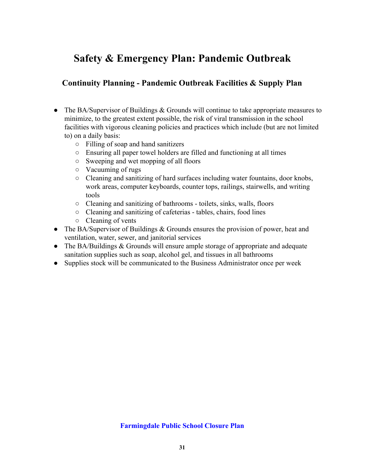# **Continuity Planning - Pandemic Outbreak Facilities & Supply Plan**

- The BA/Supervisor of Buildings & Grounds will continue to take appropriate measures to minimize, to the greatest extent possible, the risk of viral transmission in the school facilities with vigorous cleaning policies and practices which include (but are not limited to) on a daily basis:
	- Filling of soap and hand sanitizers
	- Ensuring all paper towel holders are filled and functioning at all times
	- Sweeping and wet mopping of all floors
	- Vacuuming of rugs
	- Cleaning and sanitizing of hard surfaces including water fountains, door knobs, work areas, computer keyboards, counter tops, railings, stairwells, and writing tools
	- Cleaning and sanitizing of bathrooms toilets, sinks, walls, floors
	- Cleaning and sanitizing of cafeterias tables, chairs, food lines
	- Cleaning of vents
- The BA/Supervisor of Buildings & Grounds ensures the provision of power, heat and ventilation, water, sewer, and janitorial services
- The BA/Buildings & Grounds will ensure ample storage of appropriate and adequate sanitation supplies such as soap, alcohol gel, and tissues in all bathrooms
- Supplies stock will be communicated to the Business Administrator once per week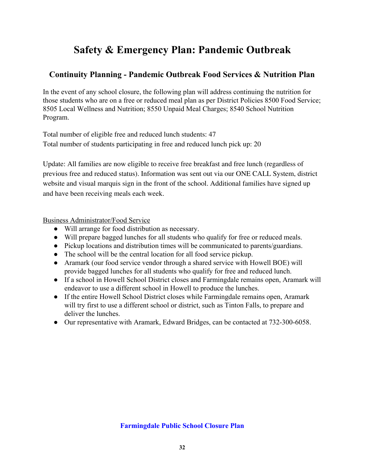# **Continuity Planning - Pandemic Outbreak Food Services & Nutrition Plan**

In the event of any school closure, the following plan will address continuing the nutrition for those students who are on a free or reduced meal plan as per District Policies 8500 Food Service; 8505 Local Wellness and Nutrition; 8550 Unpaid Meal Charges; 8540 School Nutrition Program.

Total number of eligible free and reduced lunch students: 47 Total number of students participating in free and reduced lunch pick up: 20

Update: All families are now eligible to receive free breakfast and free lunch (regardless of previous free and reduced status). Information was sent out via our ONE CALL System, district website and visual marquis sign in the front of the school. Additional families have signed up and have been receiving meals each week.

Business Administrator/Food Service

- Will arrange for food distribution as necessary.
- Will prepare bagged lunches for all students who qualify for free or reduced meals.
- Pickup locations and distribution times will be communicated to parents/guardians.
- The school will be the central location for all food service pickup.
- Aramark (our food service vendor through a shared service with Howell BOE) will provide bagged lunches for all students who qualify for free and reduced lunch.
- If a school in Howell School District closes and Farmingdale remains open, Aramark will endeavor to use a different school in Howell to produce the lunches.
- If the entire Howell School District closes while Farmingdale remains open, Aramark will try first to use a different school or district, such as Tinton Falls, to prepare and deliver the lunches.
- Our representative with Aramark, Edward Bridges, can be contacted at 732-300-6058.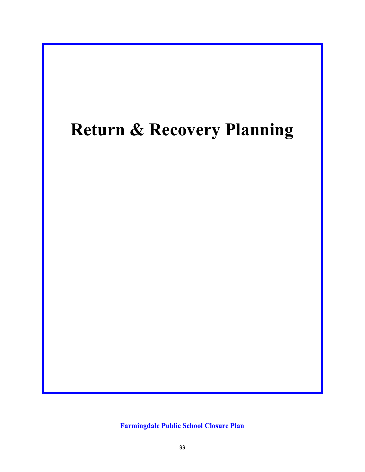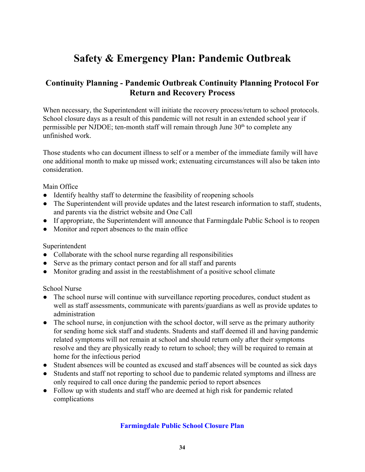# **Continuity Planning - Pandemic Outbreak Continuity Planning Protocol For Return and Recovery Process**

When necessary, the Superintendent will initiate the recovery process/return to school protocols. School closure days as a result of this pandemic will not result in an extended school year if permissible per NJDOE; ten-month staff will remain through June  $30<sup>th</sup>$  to complete any unfinished work.

Those students who can document illness to self or a member of the immediate family will have one additional month to make up missed work; extenuating circumstances will also be taken into consideration.

### Main Office

- Identify healthy staff to determine the feasibility of reopening schools
- The Superintendent will provide updates and the latest research information to staff, students, and parents via the district website and One Call
- If appropriate, the Superintendent will announce that Farmingdale Public School is to reopen
- Monitor and report absences to the main office

#### Superintendent

- Collaborate with the school nurse regarding all responsibilities
- Serve as the primary contact person and for all staff and parents
- Monitor grading and assist in the reestablishment of a positive school climate

#### School Nurse

- The school nurse will continue with surveillance reporting procedures, conduct student as well as staff assessments, communicate with parents/guardians as well as provide updates to administration
- The school nurse, in conjunction with the school doctor, will serve as the primary authority for sending home sick staff and students. Students and staff deemed ill and having pandemic related symptoms will not remain at school and should return only after their symptoms resolve and they are physically ready to return to school; they will be required to remain at home for the infectious period
- Student absences will be counted as excused and staff absences will be counted as sick days
- Students and staff not reporting to school due to pandemic related symptoms and illness are only required to call once during the pandemic period to report absences
- Follow up with students and staff who are deemed at high risk for pandemic related complications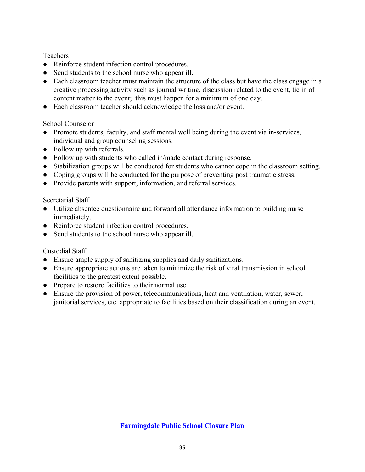**Teachers** 

- Reinforce student infection control procedures.
- Send students to the school nurse who appear ill.
- Each classroom teacher must maintain the structure of the class but have the class engage in a creative processing activity such as journal writing, discussion related to the event, tie in of content matter to the event; this must happen for a minimum of one day.
- Each classroom teacher should acknowledge the loss and/or event.

### School Counselor

- Promote students, faculty, and staff mental well being during the event via in-services, individual and group counseling sessions.
- Follow up with referrals.
- Follow up with students who called in/made contact during response.
- Stabilization groups will be conducted for students who cannot cope in the classroom setting.
- Coping groups will be conducted for the purpose of preventing post traumatic stress.
- Provide parents with support, information, and referral services.

# Secretarial Staff

- Utilize absentee questionnaire and forward all attendance information to building nurse immediately.
- Reinforce student infection control procedures.
- Send students to the school nurse who appear ill.

# Custodial Staff

- Ensure ample supply of sanitizing supplies and daily sanitizations.
- Ensure appropriate actions are taken to minimize the risk of viral transmission in school facilities to the greatest extent possible.
- Prepare to restore facilities to their normal use.
- Ensure the provision of power, telecommunications, heat and ventilation, water, sewer, janitorial services, etc. appropriate to facilities based on their classification during an event.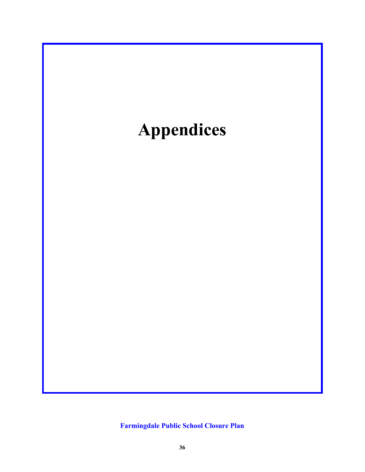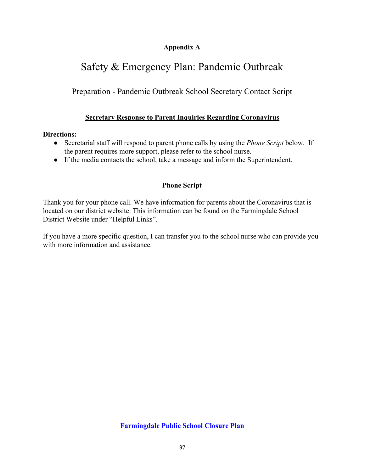# **Appendix A**

# Safety & Emergency Plan: Pandemic Outbreak

Preparation - Pandemic Outbreak School Secretary Contact Script

# **Secretary Response to Parent Inquiries Regarding Coronavirus**

# **Directions:**

- Secretarial staff will respond to parent phone calls by using the *Phone Script* below. If the parent requires more support, please refer to the school nurse.
- If the media contacts the school, take a message and inform the Superintendent.

# **Phone Script**

Thank you for your phone call. We have information for parents about the Coronavirus that is located on our district website. This information can be found on the Farmingdale School District Website under "Helpful Links".

If you have a more specific question, I can transfer you to the school nurse who can provide you with more information and assistance.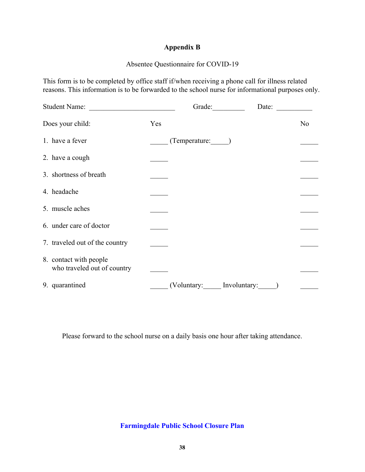## **Appendix B**

# Absentee Questionnaire for COVID-19

This form is to be completed by office staff if/when receiving a phone call for illness related reasons. This information is to be forwarded to the school nurse for informational purposes only.

| Student Name:                                         |     | Grade:                   | Date: |                |
|-------------------------------------------------------|-----|--------------------------|-------|----------------|
| Does your child:                                      | Yes |                          |       | N <sub>0</sub> |
| 1. have a fever                                       |     | (Temperature: )          |       |                |
| 2. have a cough                                       |     |                          |       |                |
| 3. shortness of breath                                |     |                          |       |                |
| 4. headache                                           |     |                          |       |                |
| 5. muscle aches                                       |     |                          |       |                |
| 6. under care of doctor                               |     |                          |       |                |
| 7. traveled out of the country                        |     |                          |       |                |
| 8. contact with people<br>who traveled out of country |     |                          |       |                |
| 9. quarantined                                        |     | (Voluntary: Involuntary: |       |                |

Please forward to the school nurse on a daily basis one hour after taking attendance.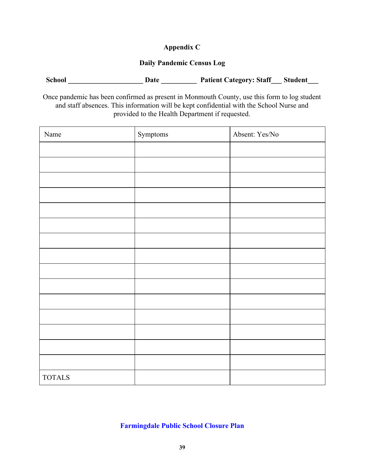# **Appendix C**

### **Daily Pandemic Census Log**

| <b>School</b> | Date | <b>Patient Category: Staff</b> | Student |
|---------------|------|--------------------------------|---------|
|               |      |                                |         |

Once pandemic has been confirmed as present in Monmouth County, use this form to log student and staff absences. This information will be kept confidential with the School Nurse and provided to the Health Department if requested.

| Name          | Symptoms | Absent: Yes/No |
|---------------|----------|----------------|
|               |          |                |
|               |          |                |
|               |          |                |
|               |          |                |
|               |          |                |
|               |          |                |
|               |          |                |
|               |          |                |
|               |          |                |
|               |          |                |
|               |          |                |
|               |          |                |
|               |          |                |
|               |          |                |
|               |          |                |
| <b>TOTALS</b> |          |                |